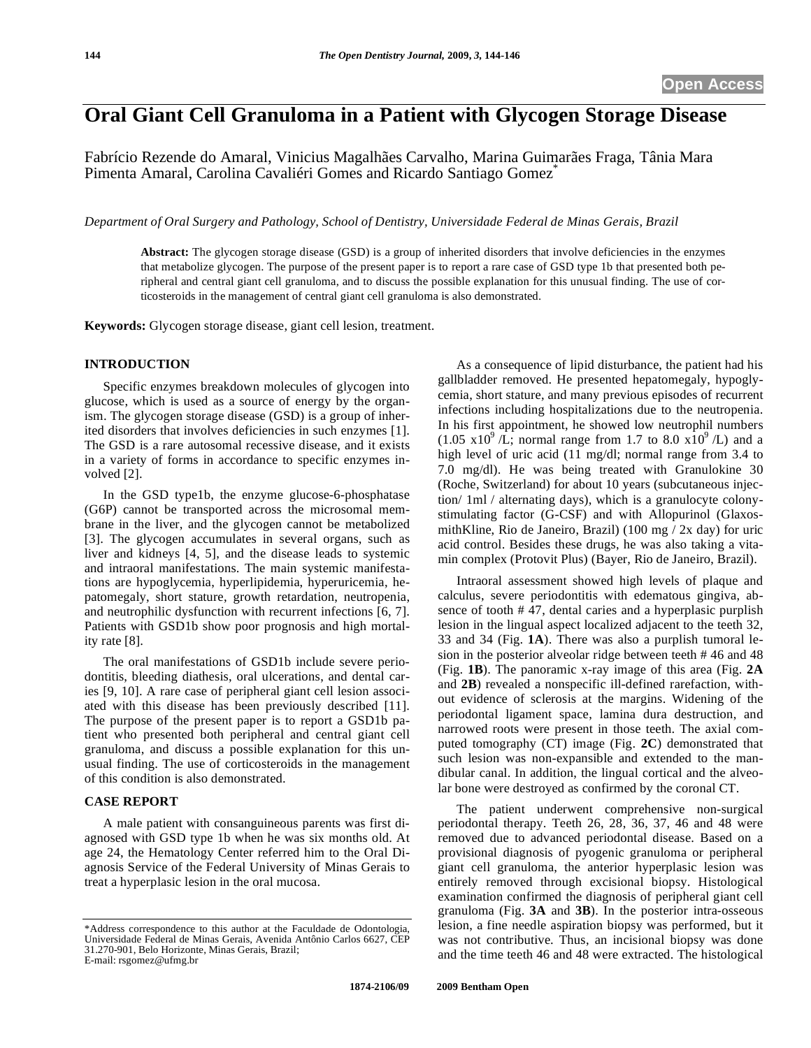## **Oral Giant Cell Granuloma in a Patient with Glycogen Storage Disease**

Fabrício Rezende do Amaral, Vinicius Magalhães Carvalho, Marina Guimarães Fraga, Tânia Mara Pimenta Amaral, Carolina Cavaliéri Gomes and Ricardo Santiago Gomez\*

*Department of Oral Surgery and Pathology, School of Dentistry, Universidade Federal de Minas Gerais, Brazil* 

**Abstract:** The glycogen storage disease (GSD) is a group of inherited disorders that involve deficiencies in the enzymes that metabolize glycogen. The purpose of the present paper is to report a rare case of GSD type 1b that presented both peripheral and central giant cell granuloma, and to discuss the possible explanation for this unusual finding. The use of corticosteroids in the management of central giant cell granuloma is also demonstrated.

**Keywords:** Glycogen storage disease, giant cell lesion, treatment.

## **INTRODUCTION**

Specific enzymes breakdown molecules of glycogen into glucose, which is used as a source of energy by the organism. The glycogen storage disease (GSD) is a group of inherited disorders that involves deficiencies in such enzymes [1]. The GSD is a rare autosomal recessive disease, and it exists in a variety of forms in accordance to specific enzymes involved [2].

In the GSD type1b, the enzyme glucose-6-phosphatase (G6P) cannot be transported across the microsomal membrane in the liver, and the glycogen cannot be metabolized [3]. The glycogen accumulates in several organs, such as liver and kidneys [4, 5], and the disease leads to systemic and intraoral manifestations. The main systemic manifestations are hypoglycemia, hyperlipidemia, hyperuricemia, hepatomegaly, short stature, growth retardation, neutropenia, and neutrophilic dysfunction with recurrent infections [6, 7]. Patients with GSD1b show poor prognosis and high mortality rate [8].

The oral manifestations of GSD1b include severe periodontitis, bleeding diathesis, oral ulcerations, and dental caries [9, 10]. A rare case of peripheral giant cell lesion associated with this disease has been previously described [11]. The purpose of the present paper is to report a GSD1b patient who presented both peripheral and central giant cell granuloma, and discuss a possible explanation for this unusual finding. The use of corticosteroids in the management of this condition is also demonstrated.

## **CASE REPORT**

A male patient with consanguineous parents was first diagnosed with GSD type 1b when he was six months old. At age 24, the Hematology Center referred him to the Oral Diagnosis Service of the Federal University of Minas Gerais to treat a hyperplasic lesion in the oral mucosa.

As a consequence of lipid disturbance, the patient had his gallbladder removed. He presented hepatomegaly, hypoglycemia, short stature, and many previous episodes of recurrent infections including hospitalizations due to the neutropenia. In his first appointment, he showed low neutrophil numbers  $(1.05 \times 10^9)$  /L; normal range from 1.7 to 8.0  $\times 10^9$  /L) and a high level of uric acid (11 mg/dl; normal range from 3.4 to 7.0 mg/dl). He was being treated with Granulokine 30 (Roche, Switzerland) for about 10 years (subcutaneous injection/ 1ml / alternating days), which is a granulocyte colonystimulating factor (G-CSF) and with Allopurinol (GlaxosmithKline, Rio de Janeiro, Brazil) (100 mg / 2x day) for uric acid control. Besides these drugs, he was also taking a vitamin complex (Protovit Plus) (Bayer, Rio de Janeiro, Brazil).

Intraoral assessment showed high levels of plaque and calculus, severe periodontitis with edematous gingiva, absence of tooth # 47, dental caries and a hyperplasic purplish lesion in the lingual aspect localized adjacent to the teeth 32, 33 and 34 (Fig. **1A**). There was also a purplish tumoral lesion in the posterior alveolar ridge between teeth # 46 and 48 (Fig. **1B**). The panoramic x-ray image of this area (Fig. **2A** and **2B**) revealed a nonspecific ill-defined rarefaction, without evidence of sclerosis at the margins. Widening of the periodontal ligament space, lamina dura destruction, and narrowed roots were present in those teeth. The axial computed tomography (CT) image (Fig. **2C**) demonstrated that such lesion was non-expansible and extended to the mandibular canal. In addition, the lingual cortical and the alveolar bone were destroyed as confirmed by the coronal CT.

The patient underwent comprehensive non-surgical periodontal therapy. Teeth 26, 28, 36, 37, 46 and 48 were removed due to advanced periodontal disease. Based on a provisional diagnosis of pyogenic granuloma or peripheral giant cell granuloma, the anterior hyperplasic lesion was entirely removed through excisional biopsy. Histological examination confirmed the diagnosis of peripheral giant cell granuloma (Fig. **3A** and **3B**). In the posterior intra-osseous lesion, a fine needle aspiration biopsy was performed, but it was not contributive. Thus, an incisional biopsy was done and the time teeth 46 and 48 were extracted. The histological

<sup>\*</sup>Address correspondence to this author at the Faculdade de Odontologia, Universidade Federal de Minas Gerais, Avenida Antônio Carlos 6627, CEP 31.270-901, Belo Horizonte, Minas Gerais, Brazil; E-mail: rsgomez@ufmg.br